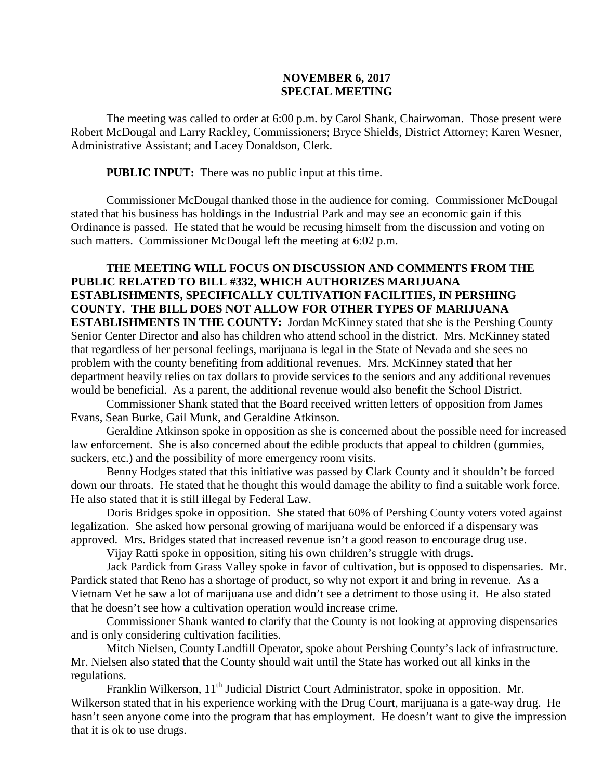## **NOVEMBER 6, 2017 SPECIAL MEETING**

The meeting was called to order at 6:00 p.m. by Carol Shank, Chairwoman. Those present were Robert McDougal and Larry Rackley, Commissioners; Bryce Shields, District Attorney; Karen Wesner, Administrative Assistant; and Lacey Donaldson, Clerk.

**PUBLIC INPUT:** There was no public input at this time.

Commissioner McDougal thanked those in the audience for coming. Commissioner McDougal stated that his business has holdings in the Industrial Park and may see an economic gain if this Ordinance is passed. He stated that he would be recusing himself from the discussion and voting on such matters. Commissioner McDougal left the meeting at 6:02 p.m.

**THE MEETING WILL FOCUS ON DISCUSSION AND COMMENTS FROM THE PUBLIC RELATED TO BILL #332, WHICH AUTHORIZES MARIJUANA ESTABLISHMENTS, SPECIFICALLY CULTIVATION FACILITIES, IN PERSHING COUNTY. THE BILL DOES NOT ALLOW FOR OTHER TYPES OF MARIJUANA ESTABLISHMENTS IN THE COUNTY:** Jordan McKinney stated that she is the Pershing County Senior Center Director and also has children who attend school in the district. Mrs. McKinney stated that regardless of her personal feelings, marijuana is legal in the State of Nevada and she sees no problem with the county benefiting from additional revenues. Mrs. McKinney stated that her department heavily relies on tax dollars to provide services to the seniors and any additional revenues would be beneficial. As a parent, the additional revenue would also benefit the School District.

Commissioner Shank stated that the Board received written letters of opposition from James Evans, Sean Burke, Gail Munk, and Geraldine Atkinson.

Geraldine Atkinson spoke in opposition as she is concerned about the possible need for increased law enforcement. She is also concerned about the edible products that appeal to children (gummies, suckers, etc.) and the possibility of more emergency room visits.

Benny Hodges stated that this initiative was passed by Clark County and it shouldn't be forced down our throats. He stated that he thought this would damage the ability to find a suitable work force. He also stated that it is still illegal by Federal Law.

Doris Bridges spoke in opposition. She stated that 60% of Pershing County voters voted against legalization. She asked how personal growing of marijuana would be enforced if a dispensary was approved. Mrs. Bridges stated that increased revenue isn't a good reason to encourage drug use.

Vijay Ratti spoke in opposition, siting his own children's struggle with drugs.

Jack Pardick from Grass Valley spoke in favor of cultivation, but is opposed to dispensaries. Mr. Pardick stated that Reno has a shortage of product, so why not export it and bring in revenue. As a Vietnam Vet he saw a lot of marijuana use and didn't see a detriment to those using it. He also stated that he doesn't see how a cultivation operation would increase crime.

Commissioner Shank wanted to clarify that the County is not looking at approving dispensaries and is only considering cultivation facilities.

Mitch Nielsen, County Landfill Operator, spoke about Pershing County's lack of infrastructure. Mr. Nielsen also stated that the County should wait until the State has worked out all kinks in the regulations.

Franklin Wilkerson, 11<sup>th</sup> Judicial District Court Administrator, spoke in opposition. Mr. Wilkerson stated that in his experience working with the Drug Court, marijuana is a gate-way drug. He hasn't seen anyone come into the program that has employment. He doesn't want to give the impression that it is ok to use drugs.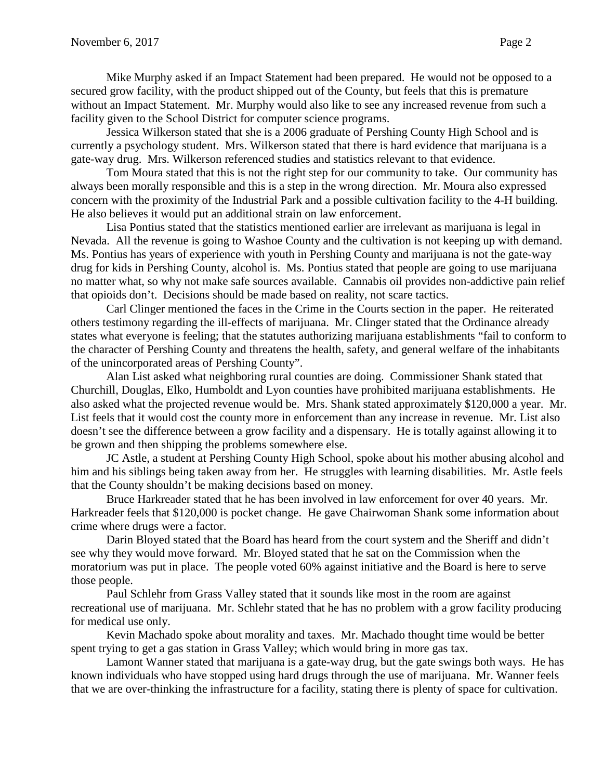Mike Murphy asked if an Impact Statement had been prepared. He would not be opposed to a secured grow facility, with the product shipped out of the County, but feels that this is premature without an Impact Statement. Mr. Murphy would also like to see any increased revenue from such a facility given to the School District for computer science programs.

Jessica Wilkerson stated that she is a 2006 graduate of Pershing County High School and is currently a psychology student. Mrs. Wilkerson stated that there is hard evidence that marijuana is a gate-way drug. Mrs. Wilkerson referenced studies and statistics relevant to that evidence.

Tom Moura stated that this is not the right step for our community to take. Our community has always been morally responsible and this is a step in the wrong direction. Mr. Moura also expressed concern with the proximity of the Industrial Park and a possible cultivation facility to the 4-H building. He also believes it would put an additional strain on law enforcement.

Lisa Pontius stated that the statistics mentioned earlier are irrelevant as marijuana is legal in Nevada. All the revenue is going to Washoe County and the cultivation is not keeping up with demand. Ms. Pontius has years of experience with youth in Pershing County and marijuana is not the gate-way drug for kids in Pershing County, alcohol is. Ms. Pontius stated that people are going to use marijuana no matter what, so why not make safe sources available. Cannabis oil provides non-addictive pain relief that opioids don't. Decisions should be made based on reality, not scare tactics.

Carl Clinger mentioned the faces in the Crime in the Courts section in the paper. He reiterated others testimony regarding the ill-effects of marijuana. Mr. Clinger stated that the Ordinance already states what everyone is feeling; that the statutes authorizing marijuana establishments "fail to conform to the character of Pershing County and threatens the health, safety, and general welfare of the inhabitants of the unincorporated areas of Pershing County".

Alan List asked what neighboring rural counties are doing. Commissioner Shank stated that Churchill, Douglas, Elko, Humboldt and Lyon counties have prohibited marijuana establishments. He also asked what the projected revenue would be. Mrs. Shank stated approximately \$120,000 a year. Mr. List feels that it would cost the county more in enforcement than any increase in revenue. Mr. List also doesn't see the difference between a grow facility and a dispensary. He is totally against allowing it to be grown and then shipping the problems somewhere else.

JC Astle, a student at Pershing County High School, spoke about his mother abusing alcohol and him and his siblings being taken away from her. He struggles with learning disabilities. Mr. Astle feels that the County shouldn't be making decisions based on money.

Bruce Harkreader stated that he has been involved in law enforcement for over 40 years. Mr. Harkreader feels that \$120,000 is pocket change. He gave Chairwoman Shank some information about crime where drugs were a factor.

Darin Bloyed stated that the Board has heard from the court system and the Sheriff and didn't see why they would move forward. Mr. Bloyed stated that he sat on the Commission when the moratorium was put in place. The people voted 60% against initiative and the Board is here to serve those people.

Paul Schlehr from Grass Valley stated that it sounds like most in the room are against recreational use of marijuana. Mr. Schlehr stated that he has no problem with a grow facility producing for medical use only.

Kevin Machado spoke about morality and taxes. Mr. Machado thought time would be better spent trying to get a gas station in Grass Valley; which would bring in more gas tax.

Lamont Wanner stated that marijuana is a gate-way drug, but the gate swings both ways. He has known individuals who have stopped using hard drugs through the use of marijuana. Mr. Wanner feels that we are over-thinking the infrastructure for a facility, stating there is plenty of space for cultivation.